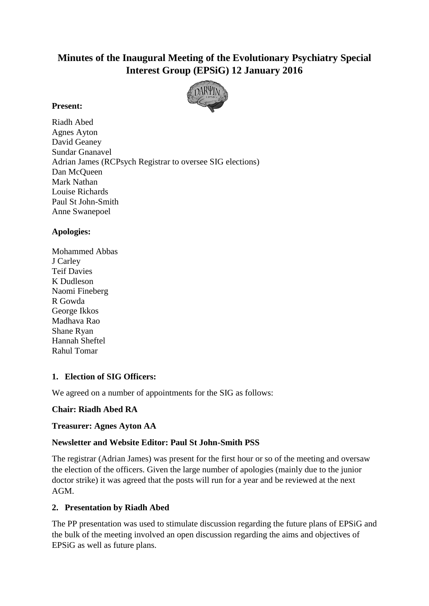# **Minutes of the Inaugural Meeting of the Evolutionary Psychiatry Special Interest Group (EPSiG) 12 January 2016**



#### **Present:**

Riadh Abed Agnes Ayton David Geaney Sundar Gnanavel Adrian James (RCPsych Registrar to oversee SIG elections) Dan McQueen Mark Nathan Louise Richards Paul St John-Smith Anne Swanepoel

## **Apologies:**

Mohammed Abbas J Carley Teif Davies K Dudleson Naomi Fineberg R Gowda George Ikkos Madhava Rao Shane Ryan Hannah Sheftel Rahul Tomar

## **1. Election of SIG Officers:**

We agreed on a number of appointments for the SIG as follows:

## **Chair: Riadh Abed RA**

#### **Treasurer: Agnes Ayton AA**

## **Newsletter and Website Editor: Paul St John-Smith PSS**

The registrar (Adrian James) was present for the first hour or so of the meeting and oversaw the election of the officers. Given the large number of apologies (mainly due to the junior doctor strike) it was agreed that the posts will run for a year and be reviewed at the next AGM.

## **2. Presentation by Riadh Abed**

The PP presentation was used to stimulate discussion regarding the future plans of EPSiG and the bulk of the meeting involved an open discussion regarding the aims and objectives of EPSiG as well as future plans.